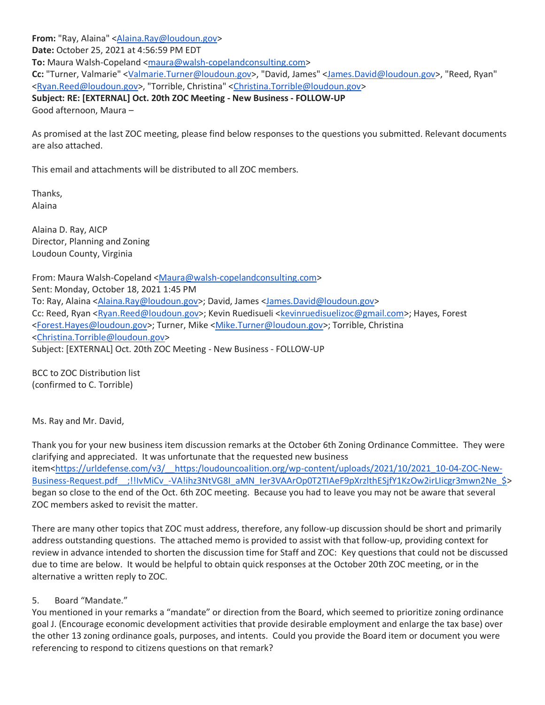From: "Ray, Alaina" [<Alaina.Ray@loudoun.gov>](mailto:Alaina.Ray@loudoun.gov) **Date:** October 25, 2021 at 4:56:59 PM EDT **To:** Maura Walsh-Copeland [<maura@walsh-copelandconsulting.com>](mailto:maura@walsh-copelandconsulting.com) **Cc:** "Turner, Valmarie" [<Valmarie.Turner@loudoun.gov>](mailto:Valmarie.Turner@loudoun.gov), "David, James" [<James.David@loudoun.gov>](mailto:James.David@loudoun.gov), "Reed, Ryan" [<Ryan.Reed@loudoun.gov>](mailto:Ryan.Reed@loudoun.gov), "Torrible, Christina" [<Christina.Torrible@loudoun.gov>](mailto:Christina.Torrible@loudoun.gov) **Subject: RE: [EXTERNAL] Oct. 20th ZOC Meeting - New Business - FOLLOW-UP** Good afternoon, Maura –

As promised at the last ZOC meeting, please find below responses to the questions you submitted. Relevant documents are also attached.

This email and attachments will be distributed to all ZOC members.

Thanks, Alaina

Alaina D. Ray, AICP Director, Planning and Zoning Loudoun County, Virginia

From: Maura Walsh-Copeland [<Maura@walsh-copelandconsulting.com>](mailto:Maura@walsh-copelandconsulting.com) Sent: Monday, October 18, 2021 1:45 PM To: Ray, Alaina [<Alaina.Ray@loudoun.gov>](mailto:Alaina.Ray@loudoun.gov); David, James [<James.David@loudoun.gov>](mailto:James.David@loudoun.gov) Cc: Reed, Ryan [<Ryan.Reed@loudoun.gov>](mailto:Ryan.Reed@loudoun.gov); Kevin Ruedisueli [<kevinruedisuelizoc@gmail.com>](mailto:kevinruedisuelizoc@gmail.com); Hayes, Forest [<Forest.Hayes@loudoun.gov>](mailto:Forest.Hayes@loudoun.gov); Turner, Mike [<Mike.Turner@loudoun.gov>](mailto:Mike.Turner@loudoun.gov); Torrible, Christina [<Christina.Torrible@loudoun.gov>](mailto:Christina.Torrible@loudoun.gov) Subject: [EXTERNAL] Oct. 20th ZOC Meeting - New Business - FOLLOW-UP

BCC to ZOC Distribution list (confirmed to C. Torrible)

Ms. Ray and Mr. David,

Thank you for your new business item discussion remarks at the October 6th Zoning Ordinance Committee. They were clarifying and appreciated. It was unfortunate that the requested new business item[<https://urldefense.com/v3/\\_\\_https:/loudouncoalition.org/wp-content/uploads/2021/10/2021\\_10-04-ZOC-New-](https://urldefense.com/v3/__https:/loudouncoalition.org/wp-content/uploads/2021/10/2021_10-04-ZOC-New-Business-Request.pdf__;!!IvMiCv_-VA!ihz3NtVG8I_aMN_Ier3VAArOp0T2TIAeF9pXrzlthESjfY1KzOw2irLIicgr3mwn2Ne_$)Business-Request.pdf :!!IvMiCv -VA!ihz3NtVG8I\_aMN\_Ier3VAArOp0T2TIAeF9pXrzlthESjfY1KzOw2irLIicgr3mwn2Ne\_\$> began so close to the end of the Oct. 6th ZOC meeting. Because you had to leave you may not be aware that several ZOC members asked to revisit the matter.

There are many other topics that ZOC must address, therefore, any follow-up discussion should be short and primarily address outstanding questions. The attached memo is provided to assist with that follow-up, providing context for review in advance intended to shorten the discussion time for Staff and ZOC: Key questions that could not be discussed due to time are below. It would be helpful to obtain quick responses at the October 20th ZOC meeting, or in the alternative a written reply to ZOC.

## 5. Board "Mandate."

You mentioned in your remarks a "mandate" or direction from the Board, which seemed to prioritize zoning ordinance goal J. (Encourage economic development activities that provide desirable employment and enlarge the tax base) over the other 13 zoning ordinance goals, purposes, and intents. Could you provide the Board item or document you were referencing to respond to citizens questions on that remark?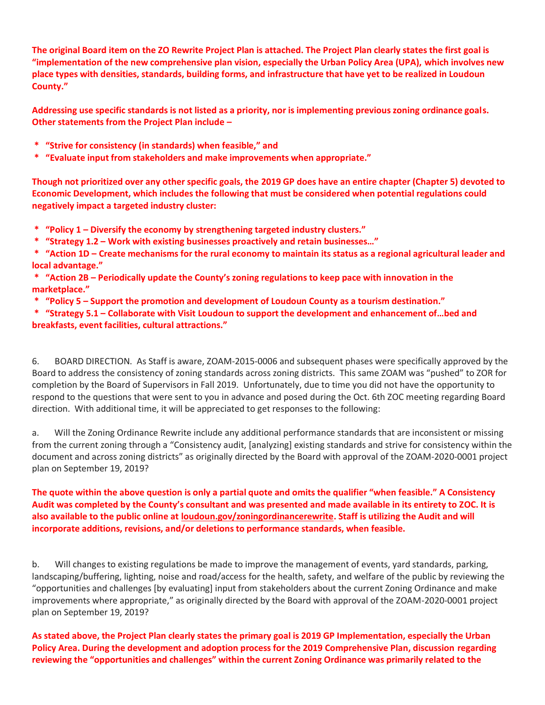**The original Board item on the ZO Rewrite Project Plan is attached. The Project Plan clearly states the first goal is "implementation of the new comprehensive plan vision, especially the Urban Policy Area (UPA), which involves new place types with densities, standards, building forms, and infrastructure that have yet to be realized in Loudoun County."**

**Addressing use specific standards is not listed as a priority, nor is implementing previous zoning ordinance goals. Other statements from the Project Plan include –**

- **\* "Strive for consistency (in standards) when feasible," and**
- **\* "Evaluate input from stakeholders and make improvements when appropriate."**

**Though not prioritized over any other specific goals, the 2019 GP does have an entire chapter (Chapter 5) devoted to Economic Development, which includes the following that must be considered when potential regulations could negatively impact a targeted industry cluster:**

- **\* "Policy 1 – Diversify the economy by strengthening targeted industry clusters."**
- **\* "Strategy 1.2 – Work with existing businesses proactively and retain businesses…"**
- **\* "Action 1D – Create mechanisms for the rural economy to maintain its status as a regional agricultural leader and local advantage."**
- **\* "Action 2B – Periodically update the County's zoning regulations to keep pace with innovation in the marketplace."**
- **\* "Policy 5 – Support the promotion and development of Loudoun County as a tourism destination."**

**\* "Strategy 5.1 – Collaborate with Visit Loudoun to support the development and enhancement of…bed and breakfasts, event facilities, cultural attractions."**

6. BOARD DIRECTION. As Staff is aware, ZOAM-2015-0006 and subsequent phases were specifically approved by the Board to address the consistency of zoning standards across zoning districts. This same ZOAM was "pushed" to ZOR for completion by the Board of Supervisors in Fall 2019. Unfortunately, due to time you did not have the opportunity to respond to the questions that were sent to you in advance and posed during the Oct. 6th ZOC meeting regarding Board direction. With additional time, it will be appreciated to get responses to the following:

a. Will the Zoning Ordinance Rewrite include any additional performance standards that are inconsistent or missing from the current zoning through a "Consistency audit, [analyzing] existing standards and strive for consistency within the document and across zoning districts" as originally directed by the Board with approval of the ZOAM-2020-0001 project plan on September 19, 2019?

**The quote within the above question is only a partial quote and omits the qualifier "when feasible." A Consistency Audit was completed by the County's consultant and was presented and made available in its entirety to ZOC. It is also available to the public online at [loudoun.gov/zoningordinancerewrite.](http://loudoun.gov/zoningordinancerewrite) Staff is utilizing the Audit and will incorporate additions, revisions, and/or deletions to performance standards, when feasible.**

b. Will changes to existing regulations be made to improve the management of events, yard standards, parking, landscaping/buffering, lighting, noise and road/access for the health, safety, and welfare of the public by reviewing the "opportunities and challenges [by evaluating] input from stakeholders about the current Zoning Ordinance and make improvements where appropriate," as originally directed by the Board with approval of the ZOAM-2020-0001 project plan on September 19, 2019?

**As stated above, the Project Plan clearly states the primary goal is 2019 GP Implementation, especially the Urban Policy Area. During the development and adoption process for the 2019 Comprehensive Plan, discussion regarding reviewing the "opportunities and challenges" within the current Zoning Ordinance was primarily related to the**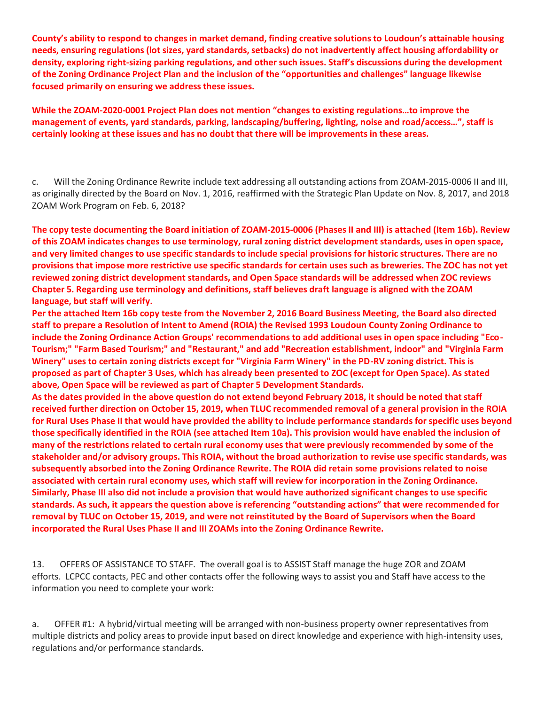**County's ability to respond to changes in market demand, finding creative solutions to Loudoun's attainable housing needs, ensuring regulations (lot sizes, yard standards, setbacks) do not inadvertently affect housing affordability or density, exploring right-sizing parking regulations, and other such issues. Staff's discussions during the development of the Zoning Ordinance Project Plan and the inclusion of the "opportunities and challenges" language likewise focused primarily on ensuring we address these issues.**

**While the ZOAM-2020-0001 Project Plan does not mention "changes to existing regulations…to improve the management of events, yard standards, parking, landscaping/buffering, lighting, noise and road/access…", staff is certainly looking at these issues and has no doubt that there will be improvements in these areas.**

c. Will the Zoning Ordinance Rewrite include text addressing all outstanding actions from ZOAM-2015-0006 II and III, as originally directed by the Board on Nov. 1, 2016, reaffirmed with the Strategic Plan Update on Nov. 8, 2017, and 2018 ZOAM Work Program on Feb. 6, 2018?

**The copy teste documenting the Board initiation of ZOAM-2015-0006 (Phases II and III) is attached (Item 16b). Review of this ZOAM indicates changes to use terminology, rural zoning district development standards, uses in open space, and very limited changes to use specific standards to include special provisions for historic structures. There are no provisions that impose more restrictive use specific standards for certain uses such as breweries. The ZOC has not yet reviewed zoning district development standards, and Open Space standards will be addressed when ZOC reviews Chapter 5. Regarding use terminology and definitions, staff believes draft language is aligned with the ZOAM language, but staff will verify.**

**Per the attached Item 16b copy teste from the November 2, 2016 Board Business Meeting, the Board also directed staff to prepare a Resolution of Intent to Amend (ROIA) the Revised 1993 Loudoun County Zoning Ordinance to include the Zoning Ordinance Action Groups' recommendations to add additional uses in open space including "Eco-Tourism;" "Farm Based Tourism;" and "Restaurant," and add "Recreation establishment, indoor" and "Virginia Farm Winery" uses to certain zoning districts except for "Virginia Farm Winery" in the PD-RV zoning district. This is proposed as part of Chapter 3 Uses, which has already been presented to ZOC (except for Open Space). As stated above, Open Space will be reviewed as part of Chapter 5 Development Standards.**

**As the dates provided in the above question do not extend beyond February 2018, it should be noted that staff received further direction on October 15, 2019, when TLUC recommended removal of a general provision in the ROIA for Rural Uses Phase II that would have provided the ability to include performance standards for specific uses beyond those specifically identified in the ROIA (see attached Item 10a). This provision would have enabled the inclusion of many of the restrictions related to certain rural economy uses that were previously recommended by some of the stakeholder and/or advisory groups. This ROIA, without the broad authorization to revise use specific standards, was subsequently absorbed into the Zoning Ordinance Rewrite. The ROIA did retain some provisions related to noise associated with certain rural economy uses, which staff will review for incorporation in the Zoning Ordinance. Similarly, Phase III also did not include a provision that would have authorized significant changes to use specific standards. As such, it appears the question above is referencing "outstanding actions" that were recommended for removal by TLUC on October 15, 2019, and were not reinstituted by the Board of Supervisors when the Board incorporated the Rural Uses Phase II and III ZOAMs into the Zoning Ordinance Rewrite.**

13. OFFERS OF ASSISTANCE TO STAFF. The overall goal is to ASSIST Staff manage the huge ZOR and ZOAM efforts. LCPCC contacts, PEC and other contacts offer the following ways to assist you and Staff have access to the information you need to complete your work:

a. OFFER #1: A hybrid/virtual meeting will be arranged with non-business property owner representatives from multiple districts and policy areas to provide input based on direct knowledge and experience with high-intensity uses, regulations and/or performance standards.